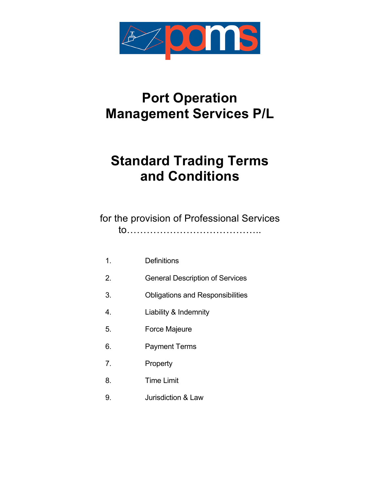

# **Port Operation Management Services P/L**

# **Standard Trading Terms and Conditions**

for the provision of Professional Services to…………………………………..

- 1. Definitions
- 2. General Description of Services
- 3. Obligations and Responsibilities
- 4. Liability & Indemnity
- 5. Force Majeure
- 6. Payment Terms
- 7. Property
- 8. Time Limit
- 9. Jurisdiction & Law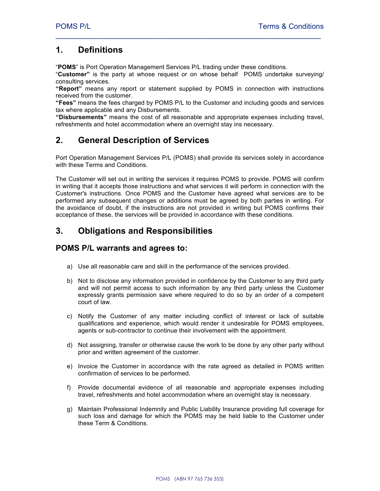#### **1. Definitions**

"**POMS**" is Port Operation Management Services P/L trading under these conditions.

"**Customer"** is the party at whose request or on whose behalf POMS undertake surveying/ consulting services.

 $\mathcal{L}_\text{max} = \mathcal{L}_\text{max} = \mathcal{L}_\text{max} = \mathcal{L}_\text{max} = \mathcal{L}_\text{max} = \mathcal{L}_\text{max} = \mathcal{L}_\text{max} = \mathcal{L}_\text{max} = \mathcal{L}_\text{max} = \mathcal{L}_\text{max} = \mathcal{L}_\text{max} = \mathcal{L}_\text{max} = \mathcal{L}_\text{max} = \mathcal{L}_\text{max} = \mathcal{L}_\text{max} = \mathcal{L}_\text{max} = \mathcal{L}_\text{max} = \mathcal{L}_\text{max} = \mathcal{$ 

**"Report"** means any report or statement supplied by POMS in connection with instructions received from the customer.

**"Fees"** means the fees charged by POMS P/L to the Customer and including goods and services tax where applicable and any Disbursements.

**"Disbursements"** means the cost of all reasonable and appropriate expenses including travel, refreshments and hotel accommodation where an overnight stay ins necessary.

## **2. General Description of Services**

Port Operation Management Services P/L (POMS) shall provide its services solely in accordance with these Terms and Conditions.

The Customer will set out in writing the services it requires POMS to provide. POMS will confirm in writing that it accepts those instructions and what services it will perform in connection with the Customer's instructions. Once POMS and the Customer have agreed what services are to be performed any subsequent changes or additions must be agreed by both parties in writing. For the avoidance of doubt, if the instructions are not provided in writing but POMS confirms their acceptance of these, the services will be provided in accordance with these conditions.

## **3. Obligations and Responsibilities**

#### **POMS P/L warrants and agrees to:**

- a) Use all reasonable care and skill in the performance of the services provided.
- b) Not to disclose any information provided in confidence by the Customer to any third party and will not permit access to such information by any third party unless the Customer expressly grants permission save where required to do so by an order of a competent court of law.
- c) Notify the Customer of any matter including conflict of interest or lack of suitable qualifications and experience, which would render it undesirable for POMS employees, agents or sub-contractor to continue their involvement with the appointment.
- d) Not assigning, transfer or otherwise cause the work to be done by any other party without prior and written agreement of the customer.
- e) Invoice the Customer in accordance with the rate agreed as detailed in POMS written confirmation of services to be performed.
- f) Provide documental evidence of all reasonable and appropriate expenses including travel, refreshments and hotel accommodation where an overnight stay is necessary.
- g) Maintain Professional Indemnity and Public Liability Insurance providing full coverage for such loss and damage for which the POMS may be held liable to the Customer under these Term & Conditions.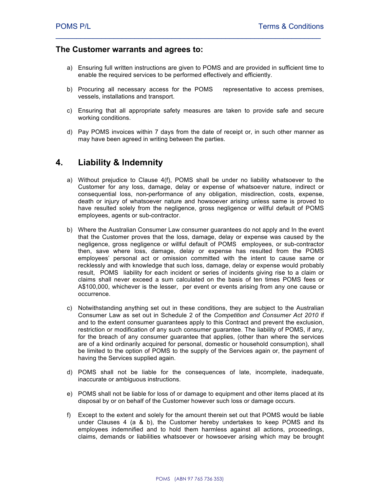#### **The Customer warrants and agrees to:**

a) Ensuring full written instructions are given to POMS and are provided in sufficient time to enable the required services to be performed effectively and efficiently.

 $\mathcal{L}_\text{max} = \mathcal{L}_\text{max} = \mathcal{L}_\text{max} = \mathcal{L}_\text{max} = \mathcal{L}_\text{max} = \mathcal{L}_\text{max} = \mathcal{L}_\text{max} = \mathcal{L}_\text{max} = \mathcal{L}_\text{max} = \mathcal{L}_\text{max} = \mathcal{L}_\text{max} = \mathcal{L}_\text{max} = \mathcal{L}_\text{max} = \mathcal{L}_\text{max} = \mathcal{L}_\text{max} = \mathcal{L}_\text{max} = \mathcal{L}_\text{max} = \mathcal{L}_\text{max} = \mathcal{$ 

- b) Procuring all necessary access for the POMS representative to access premises, vessels, installations and transport.
- c) Ensuring that all appropriate safety measures are taken to provide safe and secure working conditions.
- d) Pay POMS invoices within 7 days from the date of receipt or, in such other manner as may have been agreed in writing between the parties.

#### **4. Liability & Indemnity**

- a) Without prejudice to Clause 4(f), POMS shall be under no liability whatsoever to the Customer for any loss, damage, delay or expense of whatsoever nature, indirect or consequential loss, non-performance of any obligation, misdirection, costs, expense, death or injury of whatsoever nature and howsoever arising unless same is proved to have resulted solely from the negligence, gross negligence or willful default of POMS employees, agents or sub-contractor.
- b) Where the Australian Consumer Law consumer guarantees do not apply and In the event that the Customer proves that the loss, damage, delay or expense was caused by the negligence, gross negligence or willful default of POMS employees, or sub-contractor then, save where loss, damage, delay or expense has resulted from the POMS employees' personal act or omission committed with the intent to cause same or recklessly and with knowledge that such loss, damage, delay or expense would probably result, POMS liability for each incident or series of incidents giving rise to a claim or claims shall never exceed a sum calculated on the basis of ten times POMS fees or A\$100,000, whichever is the lesser, per event or events arising from any one cause or occurrence.
- c) Notwithstanding anything set out in these conditions, they are subject to the Australian Consumer Law as set out in Schedule 2 of the *Competition and Consumer Act 2010* if and to the extent consumer guarantees apply to this Contract and prevent the exclusion, restriction or modification of any such consumer guarantee. The liability of POMS, if any, for the breach of any consumer guarantee that applies, (other than where the services are of a kind ordinarily acquired for personal, domestic or household consumption), shall be limited to the option of POMS to the supply of the Services again or, the payment of having the Services supplied again.
- d) POMS shall not be liable for the consequences of late, incomplete, inadequate, inaccurate or ambiguous instructions.
- e) POMS shall not be liable for loss of or damage to equipment and other items placed at its disposal by or on behalf of the Customer however such loss or damage occurs.
- f) Except to the extent and solely for the amount therein set out that POMS would be liable under Clauses 4 (a & b), the Customer hereby undertakes to keep POMS and its employees indemnified and to hold them harmless against all actions, proceedings, claims, demands or liabilities whatsoever or howsoever arising which may be brought